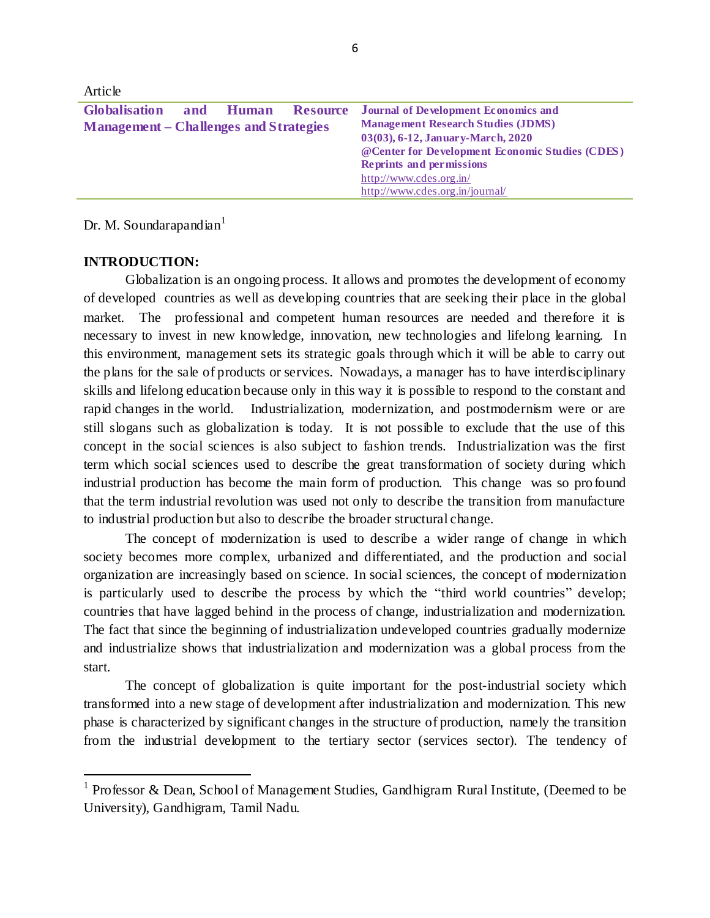| Article                                                        |           |                 |                                                                                                                                                                                                                                                                                   |
|----------------------------------------------------------------|-----------|-----------------|-----------------------------------------------------------------------------------------------------------------------------------------------------------------------------------------------------------------------------------------------------------------------------------|
| Globalisation<br><b>Management – Challenges and Strategies</b> | and Human | <b>Resource</b> | <b>Journal of Development Economics and</b><br><b>Management Research Studies (JDMS)</b><br>03(03), 6-12, January-March, 2020<br>@Center for Development Economic Studies (CDES)<br><b>Reprints and permissions</b><br>http://www.cdes.org.in/<br>http://www.cdes.org.in/journal/ |

Dr. M. Soundarapandian<sup>1</sup>

## **INTRODUCTION:**

 $\ddot{\phantom{a}}$ 

Globalization is an ongoing process. It allows and promotes the development of economy of developed countries as well as developing countries that are seeking their place in the global market. The professional and competent human resources are needed and therefore it is necessary to invest in new knowledge, innovation, new technologies and lifelong learning. In this environment, management sets its strategic goals through which it will be able to carry out the plans for the sale of products or services. Nowadays, a manager has to have interdisciplinary skills and lifelong education because only in this way it is possible to respond to the constant and rapid changes in the world. Industrialization, modernization, and postmodernism were or are still slogans such as globalization is today. It is not possible to exclude that the use of this concept in the social sciences is also subject to fashion trends. Industrialization was the first term which social sciences used to describe the great transformation of society during which industrial production has become the main form of production. This change was so pro found that the term industrial revolution was used not only to describe the transition from manufacture to industrial production but also to describe the broader structural change.

The concept of modernization is used to describe a wider range of change in which society becomes more complex, urbanized and differentiated, and the production and social organization are increasingly based on science. In social sciences, the concept of modernization is particularly used to describe the process by which the "third world countries" develop; countries that have lagged behind in the process of change, industrialization and modernization. The fact that since the beginning of industrialization undeveloped countries gradually modernize and industrialize shows that industrialization and modernization was a global process from the start.

The concept of globalization is quite important for the post-industrial society which transformed into a new stage of development after industrialization and modernization. This new phase is characterized by significant changes in the structure of production, namely the transition from the industrial development to the tertiary sector (services sector). The tendency of

<sup>&</sup>lt;sup>1</sup> Professor & Dean, School of Management Studies, Gandhigram Rural Institute, (Deemed to be University), Gandhigram, Tamil Nadu.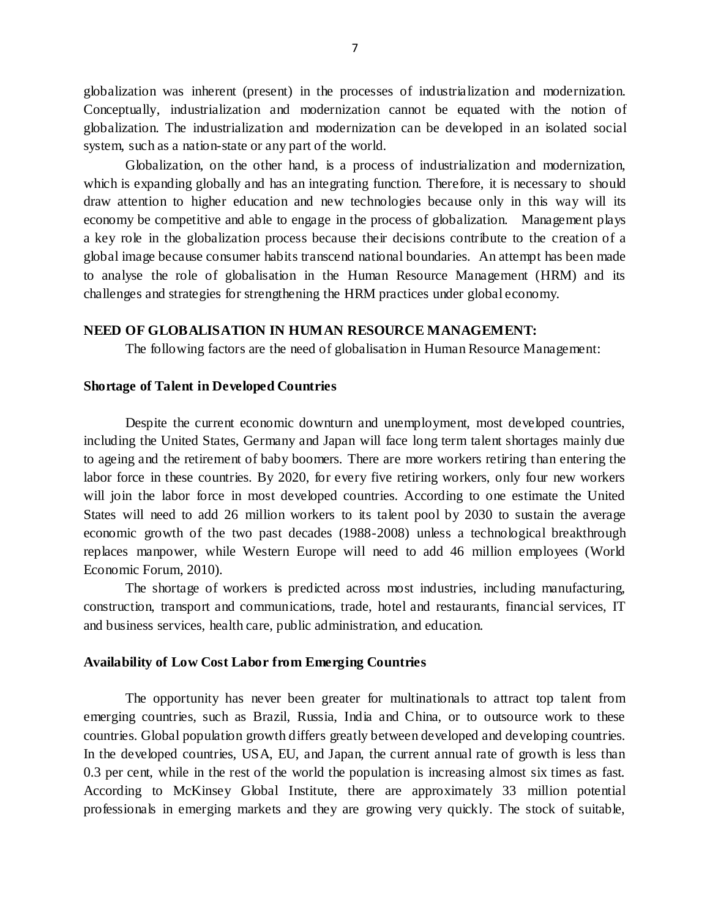globalization was inherent (present) in the processes of industrialization and modernization. Conceptually, industrialization and modernization cannot be equated with the notion of globalization. The industrialization and modernization can be developed in an isolated social system, such as a nation-state or any part of the world.

Globalization, on the other hand, is a process of industrialization and modernization, which is expanding globally and has an integrating function. Therefore, it is necessary to should draw attention to higher education and new technologies because only in this way will its economy be competitive and able to engage in the process of globalization. Management plays a key role in the globalization process because their decisions contribute to the creation of a global image because consumer habits transcend national boundaries. An attempt has been made to analyse the role of globalisation in the Human Resource Management (HRM) and its challenges and strategies for strengthening the HRM practices under global economy.

## **NEED OF GLOBALISATION IN HUMAN RESOURCE MANAGEMENT:**

The following factors are the need of globalisation in Human Resource Management:

#### **Shortage of Talent in Developed Countries**

Despite the current economic downturn and unemployment, most developed countries, including the United States, Germany and Japan will face long term talent shortages mainly due to ageing and the retirement of baby boomers. There are more workers retiring than entering the labor force in these countries. By 2020, for every five retiring workers, only four new workers will join the labor force in most developed countries. According to one estimate the United States will need to add 26 million workers to its talent pool by 2030 to sustain the average economic growth of the two past decades (1988-2008) unless a technological breakthrough replaces manpower, while Western Europe will need to add 46 million employees (World Economic Forum, 2010).

The shortage of workers is predicted across most industries, including manufacturing, construction, transport and communications, trade, hotel and restaurants, financial services, IT and business services, health care, public administration, and education.

## **Availability of Low Cost Labor from Emerging Countries**

The opportunity has never been greater for multinationals to attract top talent from emerging countries, such as Brazil, Russia, India and China, or to outsource work to these countries. Global population growth differs greatly between developed and developing countries. In the developed countries, USA, EU, and Japan, the current annual rate of growth is less than 0.3 per cent, while in the rest of the world the population is increasing almost six times as fast. According to McKinsey Global Institute, there are approximately 33 million potential professionals in emerging markets and they are growing very quickly. The stock of suitable,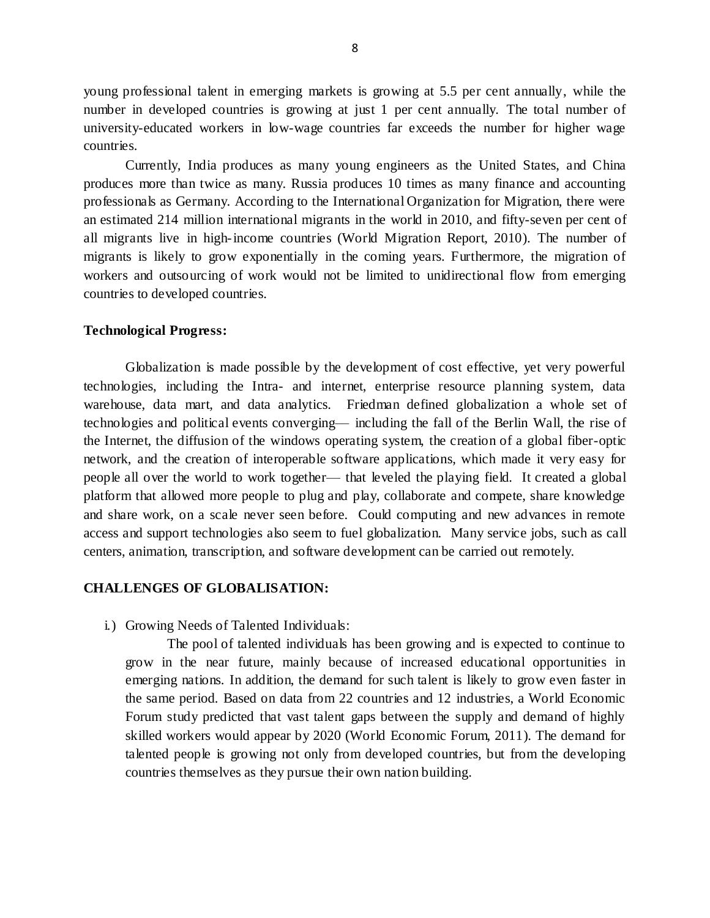young professional talent in emerging markets is growing at 5.5 per cent annually, while the number in developed countries is growing at just 1 per cent annually. The total number of university-educated workers in low-wage countries far exceeds the number for higher wage countries.

Currently, India produces as many young engineers as the United States, and China produces more than twice as many. Russia produces 10 times as many finance and accounting professionals as Germany. According to the International Organization for Migration, there were an estimated 214 million international migrants in the world in 2010, and fifty-seven per cent of all migrants live in high-income countries (World Migration Report, 2010). The number of migrants is likely to grow exponentially in the coming years. Furthermore, the migration of workers and outsourcing of work would not be limited to unidirectional flow from emerging countries to developed countries.

## **Technological Progress:**

Globalization is made possible by the development of cost effective, yet very powerful technologies, including the Intra- and internet, enterprise resource planning system, data warehouse, data mart, and data analytics. Friedman defined globalization a whole set of technologies and political events converging–– including the fall of the Berlin Wall, the rise of the Internet, the diffusion of the windows operating system, the creation of a global fiber-optic network, and the creation of interoperable software applications, which made it very easy for people all over the world to work together— that leveled the playing field. It created a global platform that allowed more people to plug and play, collaborate and compete, share knowledge and share work, on a scale never seen before. Could computing and new advances in remote access and support technologies also seem to fuel globalization. Many service jobs, such as call centers, animation, transcription, and software development can be carried out remotely.

## **CHALLENGES OF GLOBALISATION:**

i.) Growing Needs of Talented Individuals:

The pool of talented individuals has been growing and is expected to continue to grow in the near future, mainly because of increased educational opportunities in emerging nations. In addition, the demand for such talent is likely to grow even faster in the same period. Based on data from 22 countries and 12 industries, a World Economic Forum study predicted that vast talent gaps between the supply and demand of highly skilled workers would appear by 2020 (World Economic Forum, 2011). The demand for talented people is growing not only from developed countries, but from the developing countries themselves as they pursue their own nation building.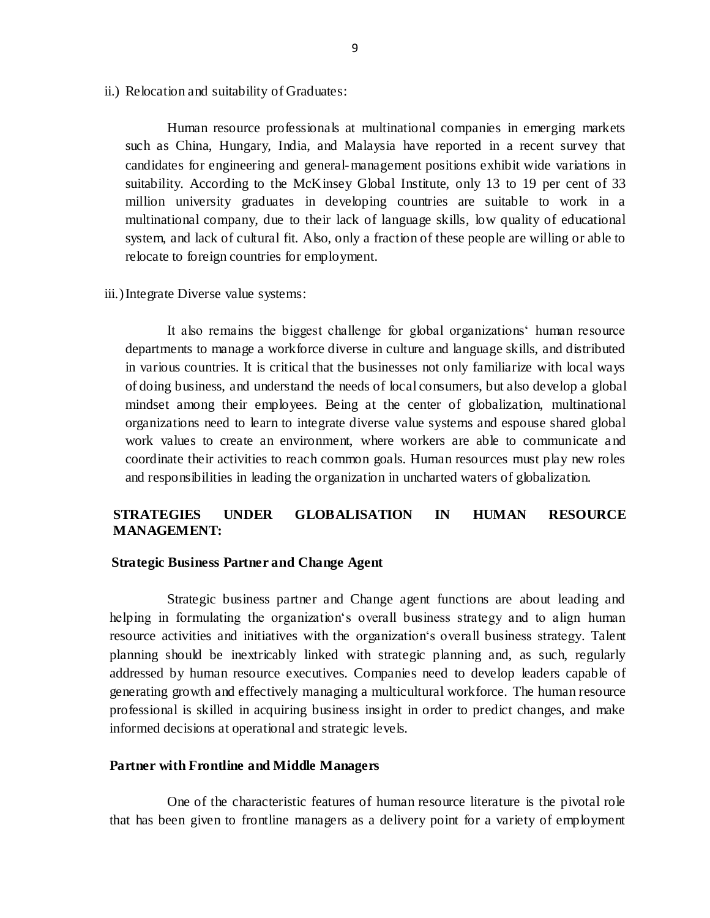ii.) Relocation and suitability of Graduates:

Human resource professionals at multinational companies in emerging markets such as China, Hungary, India, and Malaysia have reported in a recent survey that candidates for engineering and general-management positions exhibit wide variations in suitability. According to the McKinsey Global Institute, only 13 to 19 per cent of 33 million university graduates in developing countries are suitable to work in a multinational company, due to their lack of language skills, low quality of educational system, and lack of cultural fit. Also, only a fraction of these people are willing or able to relocate to foreign countries for employment.

iii.)Integrate Diverse value systems:

It also remains the biggest challenge for global organizations' human resource departments to manage a workforce diverse in culture and language skills, and distributed in various countries. It is critical that the businesses not only familiarize with local ways of doing business, and understand the needs of local consumers, but also develop a global mindset among their employees. Being at the center of globalization, multinational organizations need to learn to integrate diverse value systems and espouse shared global work values to create an environment, where workers are able to communicate a nd coordinate their activities to reach common goals. Human resources must play new roles and responsibilities in leading the organization in uncharted waters of globalization.

# **STRATEGIES UNDER GLOBALISATION IN HUMAN RESOURCE MANAGEMENT:**

#### **Strategic Business Partner and Change Agent**

Strategic business partner and Change agent functions are about leading and helping in formulating the organization's overall business strategy and to align human resource activities and initiatives with the organization's overall business strategy. Talent planning should be inextricably linked with strategic planning and, as such, regularly addressed by human resource executives. Companies need to develop leaders capable of generating growth and effectively managing a multicultural workforce. The human resource professional is skilled in acquiring business insight in order to predict changes, and make informed decisions at operational and strategic levels.

## **Partner with Frontline and Middle Managers**

One of the characteristic features of human resource literature is the pivotal role that has been given to frontline managers as a delivery point for a variety of employment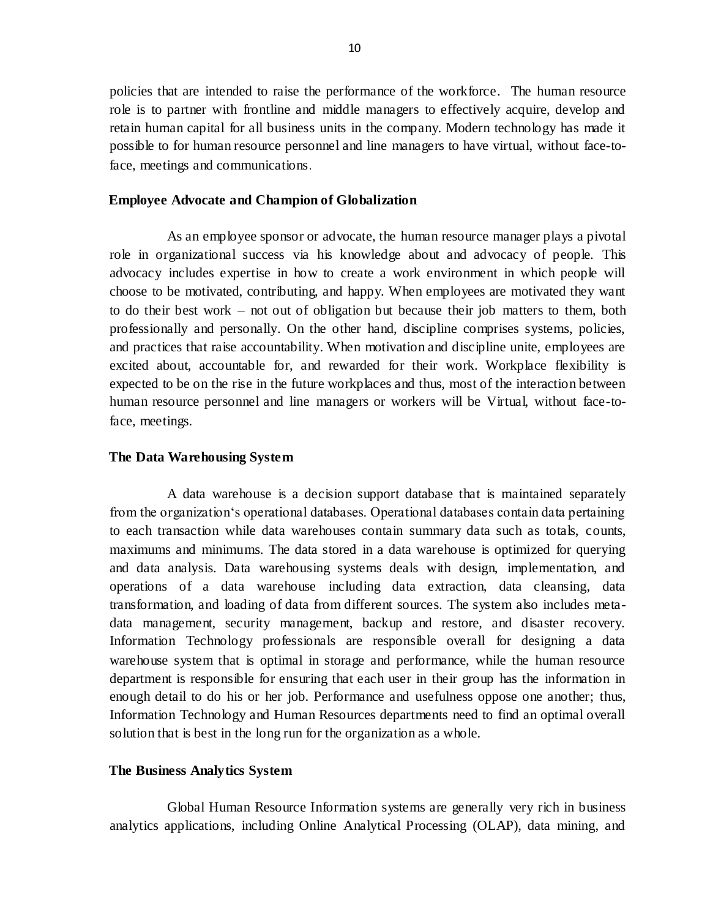policies that are intended to raise the performance of the workforce. The human resource role is to partner with frontline and middle managers to effectively acquire, develop and retain human capital for all business units in the company. Modern technology has made it possible to for human resource personnel and line managers to have virtual, without face-toface, meetings and communications.

## **Employee Advocate and Champion of Globalization**

As an employee sponsor or advocate, the human resource manager plays a pivotal role in organizational success via his knowledge about and advocacy of people. This advocacy includes expertise in how to create a work environment in which people will choose to be motivated, contributing, and happy. When employees are motivated they want to do their best work – not out of obligation but because their job matters to them, both professionally and personally. On the other hand, discipline comprises systems, policies, and practices that raise accountability. When motivation and discipline unite, employees are excited about, accountable for, and rewarded for their work. Workplace flexibility is expected to be on the rise in the future workplaces and thus, most of the interaction between human resource personnel and line managers or workers will be Virtual, without face-toface, meetings.

## **The Data Warehousing System**

A data warehouse is a decision support database that is maintained separately from the organization's operational databases. Operational databases contain data pertaining to each transaction while data warehouses contain summary data such as totals, counts, maximums and minimums. The data stored in a data warehouse is optimized for querying and data analysis. Data warehousing systems deals with design, implementation, and operations of a data warehouse including data extraction, data cleansing, data transformation, and loading of data from different sources. The system also includes metadata management, security management, backup and restore, and disaster recovery. Information Technology professionals are responsible overall for designing a data warehouse system that is optimal in storage and performance, while the human resource department is responsible for ensuring that each user in their group has the information in enough detail to do his or her job. Performance and usefulness oppose one another; thus, Information Technology and Human Resources departments need to find an optimal overall solution that is best in the long run for the organization as a whole.

### **The Business Analytics System**

Global Human Resource Information systems are generally very rich in business analytics applications, including Online Analytical Processing (OLAP), data mining, and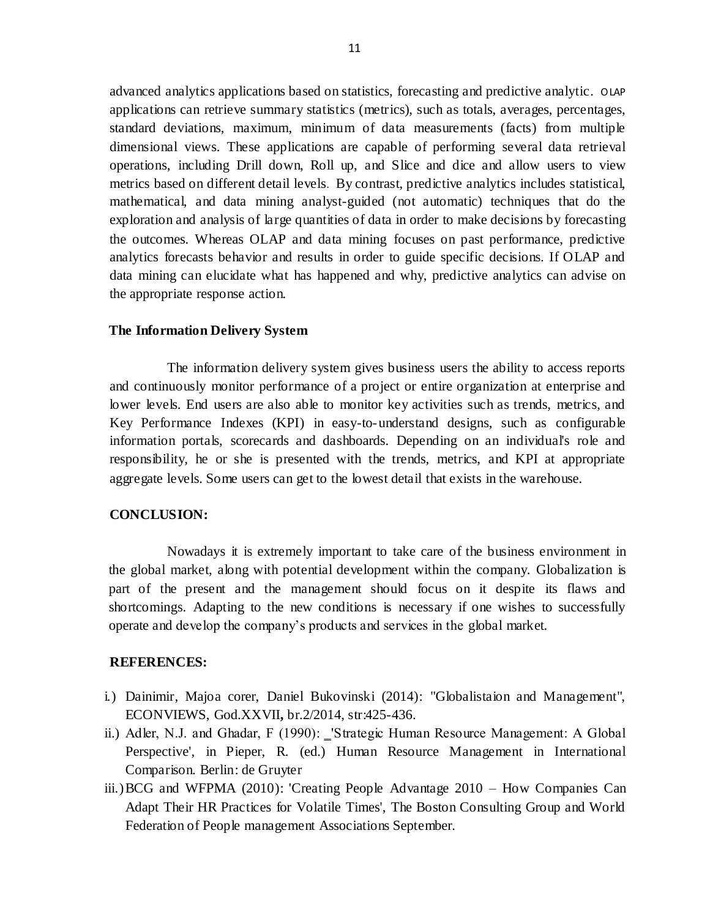advanced analytics applications based on statistics, forecasting and predictive analytic. OLAP applications can retrieve summary statistics (metrics), such as totals, averages, percentages, standard deviations, maximum, minimum of data measurements (facts) from multiple dimensional views. These applications are capable of performing several data retrieval operations, including Drill down, Roll up, and Slice and dice and allow users to view metrics based on different detail levels. By contrast, predictive analytics includes statistical, mathematical, and data mining analyst-guided (not automatic) techniques that do the exploration and analysis of large quantities of data in order to make decisions by forecasting the outcomes. Whereas OLAP and data mining focuses on past performance, predictive analytics forecasts behavior and results in order to guide specific decisions. If OLAP and data mining can elucidate what has happened and why, predictive analytics can advise on the appropriate response action.

## **The Information Delivery System**

The information delivery system gives business users the ability to access reports and continuously monitor performance of a project or entire organization at enterprise and lower levels. End users are also able to monitor key activities such as trends, metrics, and Key Performance Indexes (KPI) in easy-to-understand designs, such as configurable information portals, scorecards and dashboards. Depending on an individual's role and responsibility, he or she is presented with the trends, metrics, and KPI at appropriate aggregate levels. Some users can get to the lowest detail that exists in the warehouse.

## **CONCLUSION:**

Nowadays it is extremely important to take care of the business environment in the global market, along with potential development within the company. Globalization is part of the present and the management should focus on it despite its flaws and shortcomings. Adapting to the new conditions is necessary if one wishes to successfully operate and develop the company's products and services in the global market.

## **REFERENCES:**

- i.) Dainimir, Majoa corer, Daniel Bukovinski (2014): "Globalistaion and Management", ECONVIEWS, God.XXVII**,** br.2/2014, str:425-436.
- ii.) Adler, N.J. and Ghadar, F (1990): \_'Strategic Human Resource Management: A Global Perspective', in Pieper, R. (ed.) Human Resource Management in International Comparison. Berlin: de Gruyter
- iii.)BCG and WFPMA (2010): 'Creating People Advantage 2010 How Companies Can Adapt Their HR Practices for Volatile Times', The Boston Consulting Group and World Federation of People management Associations September.